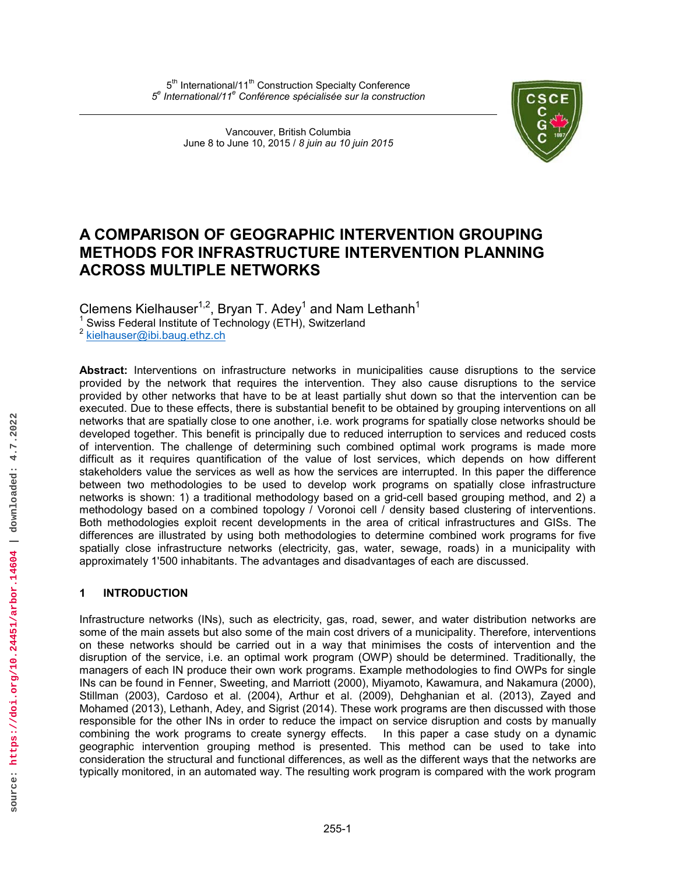Vancouver, British Columbia June 8 to June 10, 2015 / *8 juin au 10 juin 2015*



# **A COMPARISON OF GEOGRAPHIC INTERVENTION GROUPING METHODS FOR INFRASTRUCTURE INTERVENTION PLANNING ACROSS MULTIPLE NETWORKS**

Clemens Kielhauser<sup>1,2</sup>, Bryan T. Adey<sup>1</sup> and Nam Lethanh<sup>1</sup>

 $1$  Swiss Federal Institute of Technology (ETH), Switzerland

<sup>2</sup> [kielhauser@ibi.baug.ethz.ch](mailto:kielhauser@ibi.baug.ethz.ch)

**Abstract:** Interventions on infrastructure networks in municipalities cause disruptions to the service provided by the network that requires the intervention. They also cause disruptions to the service provided by other networks that have to be at least partially shut down so that the intervention can be executed. Due to these effects, there is substantial benefit to be obtained by grouping interventions on all networks that are spatially close to one another, i.e. work programs for spatially close networks should be developed together. This benefit is principally due to reduced interruption to services and reduced costs of intervention. The challenge of determining such combined optimal work programs is made more difficult as it requires quantification of the value of lost services, which depends on how different stakeholders value the services as well as how the services are interrupted. In this paper the difference between two methodologies to be used to develop work programs on spatially close infrastructure networks is shown: 1) a traditional methodology based on a grid-cell based grouping method, and 2) a methodology based on a combined topology / Voronoi cell / density based clustering of interventions. Both methodologies exploit recent developments in the area of critical infrastructures and GISs. The differences are illustrated by using both methodologies to determine combined work programs for five spatially close infrastructure networks (electricity, gas, water, sewage, roads) in a municipality with approximately 1'500 inhabitants. The advantages and disadvantages of each are discussed.

## **1 INTRODUCTION**

Infrastructure networks (INs), such as electricity, gas, road, sewer, and water distribution networks are some of the main assets but also some of the main cost drivers of a municipality. Therefore, interventions on these networks should be carried out in a way that minimises the costs of intervention and the disruption of the service, i.e. an optimal work program (OWP) should be determined. Traditionally, the managers of each IN produce their own work programs. Example methodologies to find OWPs for single INs can be found in Fenner, Sweeting, and Marriott (2000), Miyamoto, Kawamura, and Nakamura (2000), Stillman (2003), Cardoso et al. (2004), Arthur et al. (2009), Dehghanian et al. (2013), Zayed and Mohamed (2013), Lethanh, Adey, and Sigrist (2014). These work programs are then discussed with those responsible for the other INs in order to reduce the impact on service disruption and costs by manually combining the work programs to create synergy effects. In this paper a case study on a dynamic geographic intervention grouping method is presented. This method can be used to take into consideration the structural and functional differences, as well as the different ways that the networks are typically monitored, in an automated way. The resulting work program is compared with the work program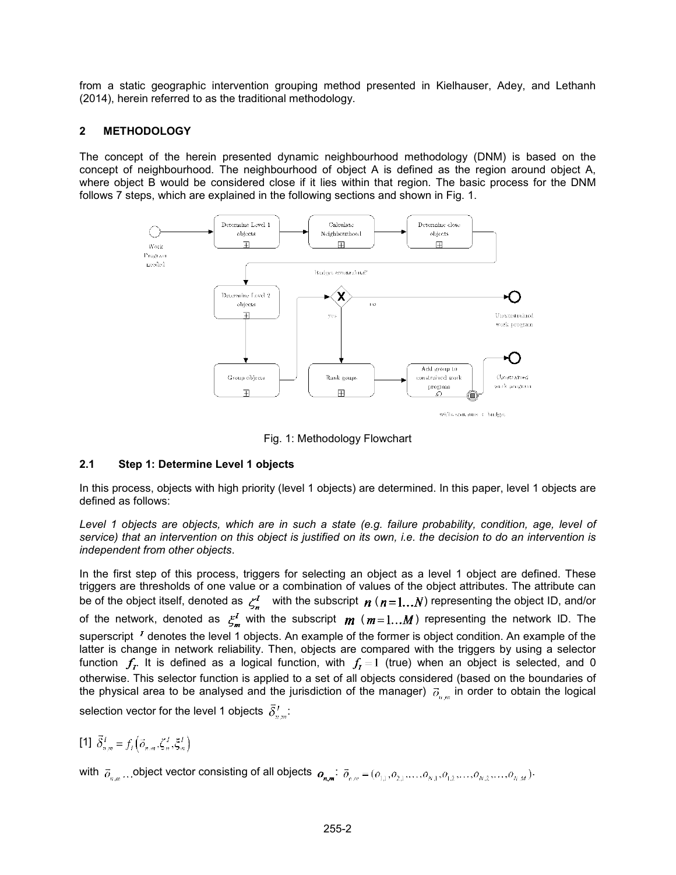from a static geographic intervention grouping method presented in Kielhauser, Adey, and Lethanh (2014), herein referred to as the traditional methodology.

# **2 METHODOLOGY**

The concept of the herein presented dynamic neighbourhood methodology (DNM) is based on the concept of neighbourhood. The neighbourhood of object A is defined as the region around object A, where object B would be considered close if it lies within that region. The basic process for the DNM follows 7 steps, which are explained in the following sections and shown in Fig. 1.



Fig. 1: Methodology Flowchart

# **2.1 Step 1: Determine Level 1 objects**

In this process, objects with high priority (level 1 objects) are determined. In this paper, level 1 objects are defined as follows:

Level 1 objects are objects, which are in such a state (e.g. failure probability, condition, age, level of *service) that an intervention on this object is justified on its own, i.e. the decision to do an intervention is independent from other objects*.

In the first step of this process, triggers for selecting an object as a level 1 object are defined. These triggers are thresholds of one value or a combination of values of the object attributes. The attribute can be of the object itself, denoted as  $\zeta_n^I$  with the subscript  $n ( n = 1...N)$  representing the object ID, and/or of the network, denoted as  $\zeta_m^I$  with the subscript  $m$  ( $m=1...M$ ) representing the network ID. The superscript  $<sup>I</sup>$  denotes the level 1 objects. An example of the former is object condition. An example of the</sup> latter is change in network reliability. Then, objects are compared with the triggers by using a selector function  $f_r$ . It is defined as a logical function, with  $f_t = 1$  (true) when an object is selected, and 0 otherwise. This selector function is applied to a set of all objects considered (based on the boundaries of the physical area to be analysed and the jurisdiction of the manager)  $\partial_{n,m}$  in order to obtain the logical selection vector for the level 1 objects  $\bar{\delta}_{n}^{T}$ :

[1]  $\vec{\delta}^I = f_t(\vec{o}_1, \vec{c}_2, \xi^I, \xi^I)$ 

with  $\vec{o}_{n,m}$ . object vector consisting of all objects  $o_{n,m}$ :  $\vec{o}_{n,m} = (o_{1,1}, o_{2,1}, \ldots, o_{N,1}, o_{1,2}, \ldots, o_{N,2}, \ldots, o_{N,M})$ .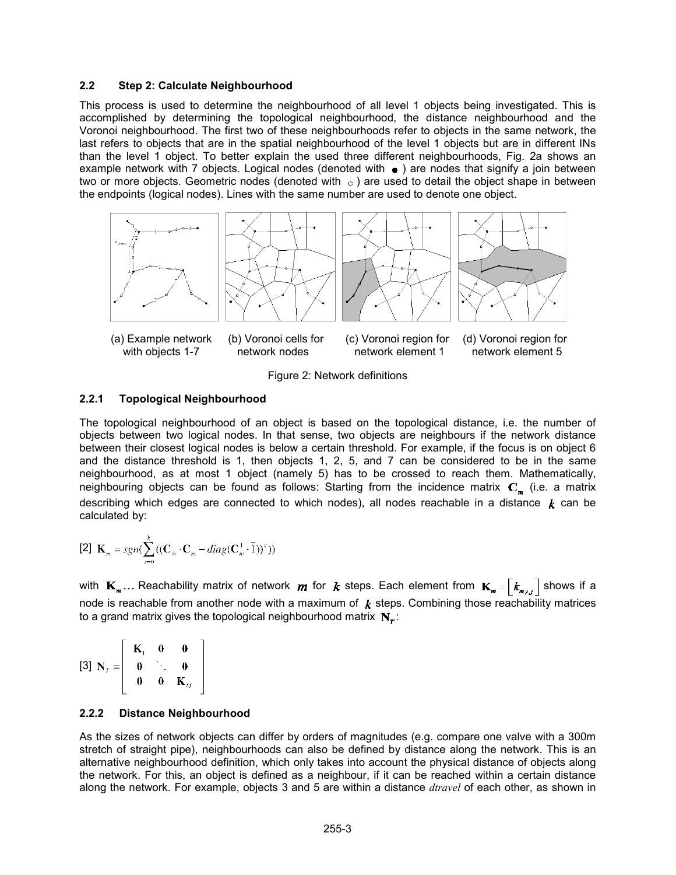#### **2.2 Step 2: Calculate Neighbourhood**

This process is used to determine the neighbourhood of all level 1 objects being investigated. This is accomplished by determining the topological neighbourhood, the distance neighbourhood and the Voronoi neighbourhood. The first two of these neighbourhoods refer to objects in the same network, the last refers to objects that are in the spatial neighbourhood of the level 1 objects but are in different INs than the level 1 object. To better explain the used three different neighbourhoods, Fig. 2a shows an example network with 7 objects. Logical nodes (denoted with  $\bullet$  ) are nodes that signify a join between two or more objects. Geometric nodes (denoted with  $\circ$  ) are used to detail the object shape in between the endpoints (logical nodes). Lines with the same number are used to denote one object.



Figure 2: Network definitions

#### **2.2.1 Topological Neighbourhood**

The topological neighbourhood of an object is based on the topological distance, i.e. the number of objects between two logical nodes. In that sense, two objects are neighbours if the network distance between their closest logical nodes is below a certain threshold. For example, if the focus is on object 6 and the distance threshold is 1, then objects 1, 2, 5, and 7 can be considered to be in the same neighbourhood, as at most 1 object (namely 5) has to be crossed to reach them. Mathematically, neighbouring objects can be found as follows: Starting from the incidence matrix  $C_{n}$  (i.e. a matrix describing which edges are connected to which nodes), all nodes reachable in a distance  $k$  can be calculated by:

$$
[2] \mathbf{K}_m = sgn(\sum_{n=0}^k ((\mathbf{C}_m \cdot \mathbf{C}_m - diag(\mathbf{C}_m^{\top} \cdot \vec{1}))^x))
$$

with  $\mathbf{K}_{m}$ ... Reachability matrix of network  $m$  for  $k$  steps. Each element from  $\mathbf{K}_{m} = \begin{bmatrix} k_{m,i,j} \end{bmatrix}$  shows if a node is reachable from another node with a maximum of  $k$  steps. Combining those reachability matrices to a grand matrix gives the topological neighbourhood matrix  $N_r$ :

$$
\begin{bmatrix} 3 \end{bmatrix} \mathbf{N}_{T} = \begin{bmatrix} \mathbf{K}_{1} & \mathbf{0} & \mathbf{0} \\ \mathbf{0} & \ddots & \mathbf{0} \\ \mathbf{0} & \mathbf{0} & \mathbf{K}_{M} \end{bmatrix}
$$

### **2.2.2 Distance Neighbourhood**

As the sizes of network objects can differ by orders of magnitudes (e.g. compare one valve with a 300m stretch of straight pipe), neighbourhoods can also be defined by distance along the network. This is an alternative neighbourhood definition, which only takes into account the physical distance of objects along the network. For this, an object is defined as a neighbour, if it can be reached within a certain distance along the network. For example, objects 3 and 5 are within a distance *dtravel* of each other, as shown in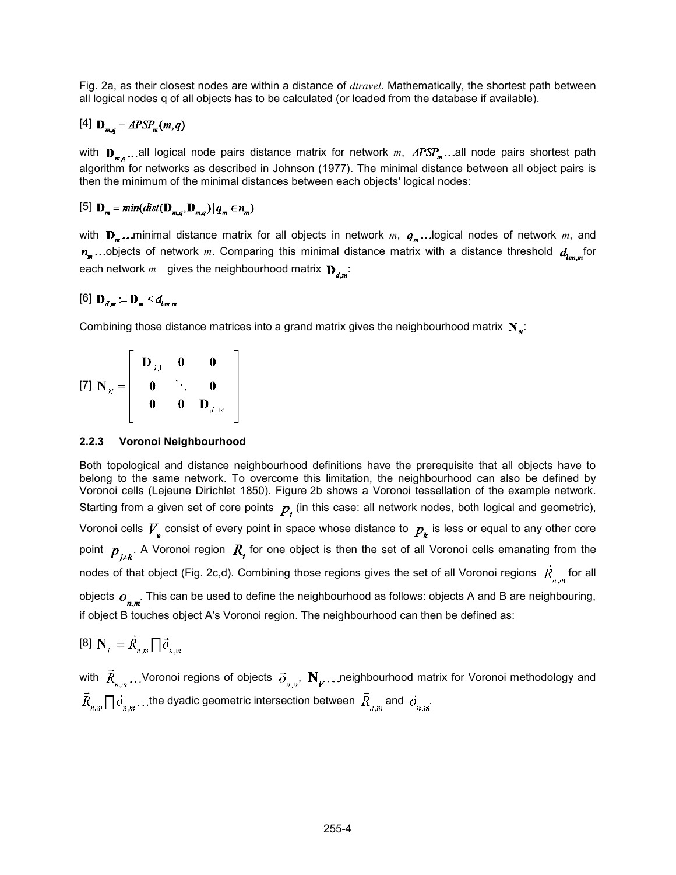Fig. 2a, as their closest nodes are within a distance of *dtravel*. Mathematically, the shortest path between all logical nodes q of all objects has to be calculated (or loaded from the database if available).

$$
[4] \mathbf{D}_{m,q} = APSP_m(m,q)
$$

with  $D_{\pi,\sigma}$ ...all logical node pairs distance matrix for network *m*,  $APSP_{\pi}$ ...all node pairs shortest path algorithm for networks as described in Johnson (1977). The minimal distance between all object pairs is then the minimum of the minimal distances between each objects' logical nodes:

[5]  $\mathbf{D}_{\mathbf{m}} = min(dist(\mathbf{D}_{\mathbf{m},a}, \mathbf{D}_{\mathbf{m},a}) | q_{\mathbf{m}} \in n_{\mathbf{m}})$ 

with  $\mathbf{D}_{m}$ ...minimal distance matrix for all objects in network *m*,  $q_{m}$ ...logical nodes of network *m*, and  $n_m$ ...objects of network *m*. Comparing this minimal distance matrix with a distance threshold  $d_{\text{lim, m}}$  for each network  $m$  gives the neighbourhood matrix  $\mathbf{D}_{d,m}$ :

[6]  $D_{d_m} = D_m \le d_{lim}$ 

Combining those distance matrices into a grand matrix gives the neighbourhood matrix  $N_{N}$ :

[7]  $N_N = \begin{bmatrix} D_{d,1} & 0 & 0 \\ 0 & \ddots & 0 \\ 0 & 0 & D_{d,M} \end{bmatrix}$ 

## **2.2.3 Voronoi Neighbourhood**

Both topological and distance neighbourhood definitions have the prerequisite that all objects have to belong to the same network. To overcome this limitation, the neighbourhood can also be defined by Voronoi cells (Lejeune Dirichlet 1850). Figure 2b shows a Voronoi tessellation of the example network. Starting from a given set of core points  $p_i$  (in this case: all network nodes, both logical and geometric), Voronoi cells  $V_{\rm v}$  consist of every point in space whose distance to  $p_{\rm k}$  is less or equal to any other core point  $p_{i\neq k}$ . A Voronoi region  $R_i$  for one object is then the set of all Voronoi cells emanating from the nodes of that object (Fig. 2c,d). Combining those regions gives the set of all Voronoi regions  $\vec{R}_{\text{max}}$  for all objects  $o_{n,m}$ . This can be used to define the neighbourhood as follows: objects A and B are neighbouring, if object B touches object A's Voronoi region. The neighbourhood can then be defined as:

[8]  $\mathbf{N}_{V} = \vec{R}_{n,m} \prod \vec{O}_{n,m}$ 

with  $\vec{R}_{n,m}$ ...Voronoi regions of objects  $\vec{o}_{n,m}$ ,  $\mathbf{N}_{p}$ ...neighbourhood matrix for Voronoi methodology and  $\vec{R}_{n,m} \prod \vec{o}_{n,m} \ldots$  the dyadic geometric intersection between  $\vec{R}_{n,m}$  and  $\vec{o}_{n,m}$ .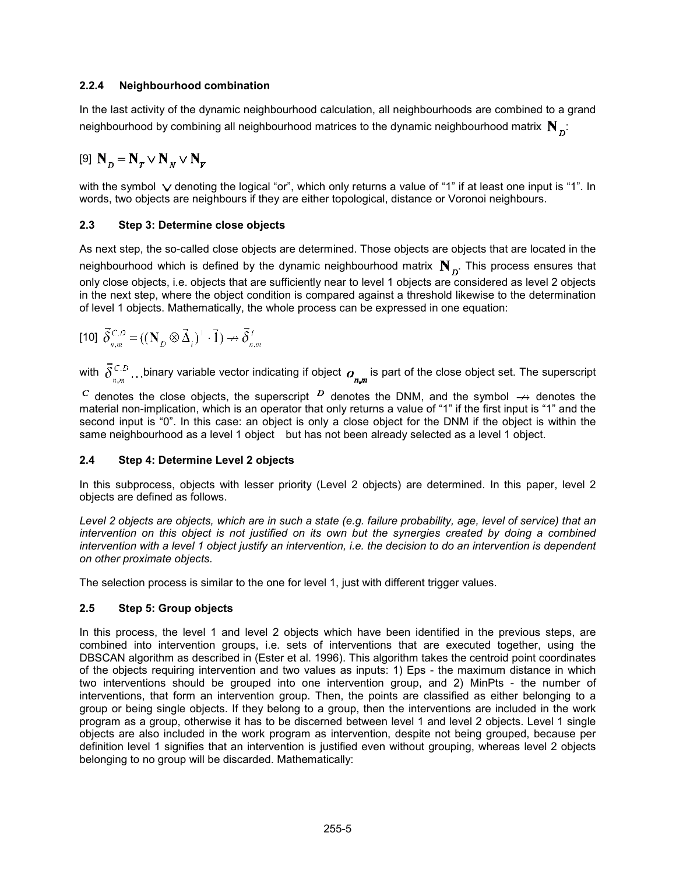# **2.2.4 Neighbourhood combination**

In the last activity of the dynamic neighbourhood calculation, all neighbourhoods are combined to a grand neighbourhood by combining all neighbourhood matrices to the dynamic neighbourhood matrix  $N_{\rm n}$ :

$$
[9] \mathbf{N}_p = \mathbf{N}_T \vee \mathbf{N}_N \vee \mathbf{N}_p
$$

with the symbol  $\vee$  denoting the logical "or", which only returns a value of "1" if at least one input is "1". In words, two objects are neighbours if they are either topological, distance or Voronoi neighbours.

# **2.3 Step 3: Determine close objects**

As next step, the so-called close objects are determined. Those objects are objects that are located in the neighbourhood which is defined by the dynamic neighbourhood matrix  $N_{n}$ . This process ensures that only close objects, i.e. objects that are sufficiently near to level 1 objects are considered as level 2 objects in the next step, where the object condition is compared against a threshold likewise to the determination of level 1 objects. Mathematically, the whole process can be expressed in one equation:

$$
\text{[10]} \ \vec{\delta}^{C,D}_{n,m} = ((\mathbf{N}_D \otimes \vec{\Delta}_i)^\top \cdot \vec{1}) \nrightarrow \vec{\delta}^T_{n,m}
$$

with  $\vec{\delta}_{n,m}^{C,D}$ ...binary variable vector indicating if object  $o_{n,m}$  is part of the close object set. The superscript

<sup>C</sup> denotes the close objects, the superscript  $\overline{D}$  denotes the DNM, and the symbol  $\overrightarrow{D}$  denotes the material non-implication, which is an operator that only returns a value of "1" if the first input is "1" and the second input is "0". In this case: an object is only a close object for the DNM if the object is within the same neighbourhood as a level 1 object but has not been already selected as a level 1 object.

## **2.4 Step 4: Determine Level 2 objects**

In this subprocess, objects with lesser priority (Level 2 objects) are determined. In this paper, level 2 objects are defined as follows.

*Level 2 objects are objects, which are in such a state (e.g. failure probability, age, level of service) that an intervention on this object is not justified on its own but the synergies created by doing a combined intervention with a level 1 object justify an intervention, i.e. the decision to do an intervention is dependent on other proximate objects.* 

The selection process is similar to the one for level 1, just with different trigger values.

# **2.5 Step 5: Group objects**

In this process, the level 1 and level 2 objects which have been identified in the previous steps, are combined into intervention groups, i.e. sets of interventions that are executed together, using the DBSCAN algorithm as described in (Ester et al. 1996). This algorithm takes the centroid point coordinates of the objects requiring intervention and two values as inputs: 1) Eps - the maximum distance in which two interventions should be grouped into one intervention group, and 2) MinPts - the number of interventions, that form an intervention group. Then, the points are classified as either belonging to a group or being single objects. If they belong to a group, then the interventions are included in the work program as a group, otherwise it has to be discerned between level 1 and level 2 objects. Level 1 single objects are also included in the work program as intervention, despite not being grouped, because per definition level 1 signifies that an intervention is justified even without grouping, whereas level 2 objects belonging to no group will be discarded. Mathematically: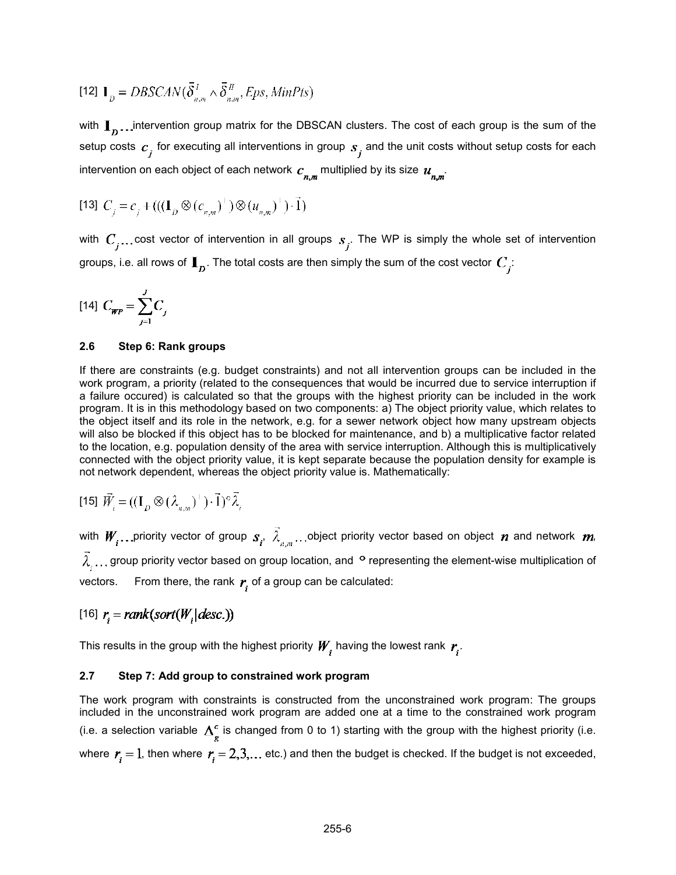[12] 
$$
\mathbf{I}_D = DBSCAN(\vec{\delta}_{n,m}^T \wedge \vec{\delta}_{n,m}^T, Eps, MinPts)
$$

with  $\mathbf{I}_n$ ... intervention group matrix for the DBSCAN clusters. The cost of each group is the sum of the setup costs  $c_j$  for executing all interventions in group  $s_j$  and the unit costs without setup costs for each intervention on each object of each network  $c_{nm}$  multiplied by its size  $u_{nm}$ 

[13] 
$$
C_j = c_j + (((\mathbf{I}_D \otimes (c_{n,m})^{\top}) \otimes (u_{n,m})^{\top}) \cdot \vec{1})
$$

with  $C_i$ ...cost vector of intervention in all groups  $s_i$ . The WP is simply the whole set of intervention groups, i.e. all rows of  $\mathbf{I}_p$ . The total costs are then simply the sum of the cost vector  $C_j$ :

$$
[14] C_{\text{WP}} = \sum_{j=1}^{J} C_j
$$

#### **2.6 Step 6: Rank groups**

If there are constraints (e.g. budget constraints) and not all intervention groups can be included in the work program, a priority (related to the consequences that would be incurred due to service interruption if a failure occured) is calculated so that the groups with the highest priority can be included in the work program. It is in this methodology based on two components: a) The object priority value, which relates to the object itself and its role in the network, e.g. for a sewer network object how many upstream objects will also be blocked if this object has to be blocked for maintenance, and b) a multiplicative factor related to the location, e.g. population density of the area with service interruption. Although this is multiplicatively connected with the object priority value, it is kept separate because the population density for example is not network dependent, whereas the object priority value is. Mathematically:

$$
\text{[15] } \vec{W}_i = ((\mathbf{I}_D \otimes (\lambda_{n,m})^\top) \cdot \vec{1})^\circ \vec{\lambda}_i
$$

with  $W_i$ . priority vector of group  $s_i$ ,  $\vec{\lambda}_{n,m}$ . object priority vector based on object  $n$  and network  $m$ ,  $\tilde{\lambda}_1$ ... group priority vector based on group location, and  $^{\circ}$  representing the element-wise multiplication of vectors. From there, the rank  $r_i$  of a group can be calculated:

$$
[16] r = rank(sort(W, | desc.))
$$

This results in the group with the highest priority  $W_i$  having the lowest rank  $r_i$ .

#### **2.7 Step 7: Add group to constrained work program**

The work program with constraints is constructed from the unconstrained work program: The groups included in the unconstrained work program are added one at a time to the constrained work program (i.e. a selection variable  $\Delta_{\varphi}^{c}$  is changed from 0 to 1) starting with the group with the highest priority (i.e. where  $r_i = 1$ , then where  $r_i = 2, 3, \ldots$  etc.) and then the budget is checked. If the budget is not exceeded,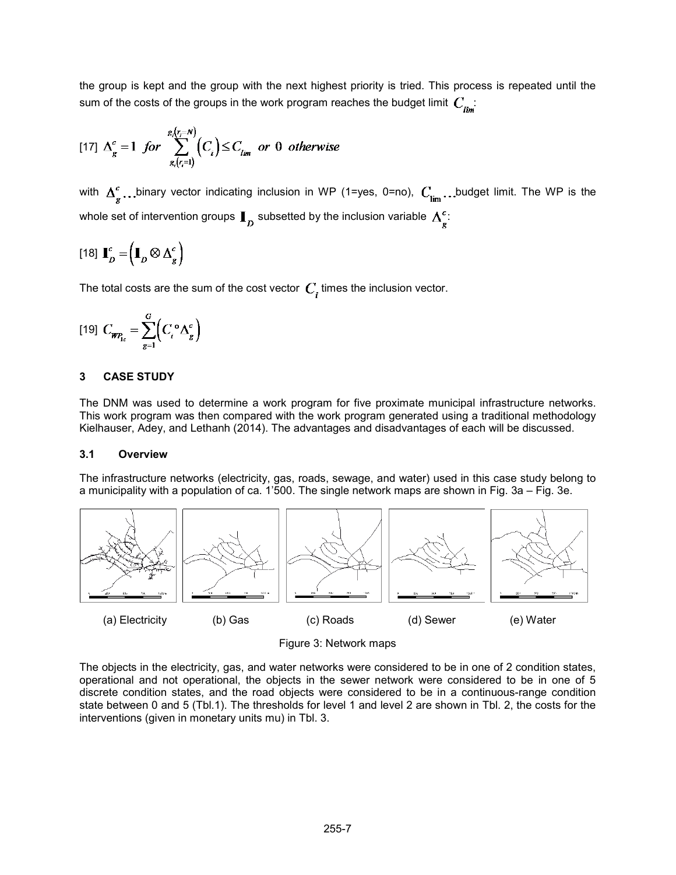the group is kept and the group with the next highest priority is tried. This process is repeated until the sum of the costs of the groups in the work program reaches the budget limit  $C_{i...}$ :

$$
\text{[17] } \Delta_g^c = 1 \text{ for } \sum_{g_i(r_i=1)}^{g_i(r_i=N)} \left( C_i \right) \le C_{lim} \text{ or } 0 \text{ otherwise}
$$

with  $\Delta_g^c$ ...binary vector indicating inclusion in WP (1=yes, 0=no),  $C_{\text{lim}}$ ...budget limit. The WP is the whole set of intervention groups  $\mathbf{I}_n$  subsetted by the inclusion variable  $\mathbf{\Delta}^c_{s}$ :

$$
\begin{bmatrix} 18 \end{bmatrix} \mathbf{I}_D^c = \left( \mathbf{I}_D \otimes \Delta_g^c \right)
$$

The total costs are the sum of the cost vector  $C<sub>i</sub>$  times the inclusion vector.

$$
[19] C_{\mathbf{WP}_{1c}} = \sum_{g=1}^{G} \left( C_i^{\circ} \Delta_g^c \right)
$$

## **3 CASE STUDY**

The DNM was used to determine a work program for five proximate municipal infrastructure networks. This work program was then compared with the work program generated using a traditional methodology Kielhauser, Adey, and Lethanh (2014). The advantages and disadvantages of each will be discussed.

## **3.1 Overview**

The infrastructure networks (electricity, gas, roads, sewage, and water) used in this case study belong to a municipality with a population of ca. 1'500. The single network maps are shown in Fig. 3a – Fig. 3e.



Figure 3: Network maps

The objects in the electricity, gas, and water networks were considered to be in one of 2 condition states, operational and not operational, the objects in the sewer network were considered to be in one of 5 discrete condition states, and the road objects were considered to be in a continuous-range condition state between 0 and 5 (Tbl.1). The thresholds for level 1 and level 2 are shown in Tbl. 2, the costs for the interventions (given in monetary units mu) in Tbl. 3.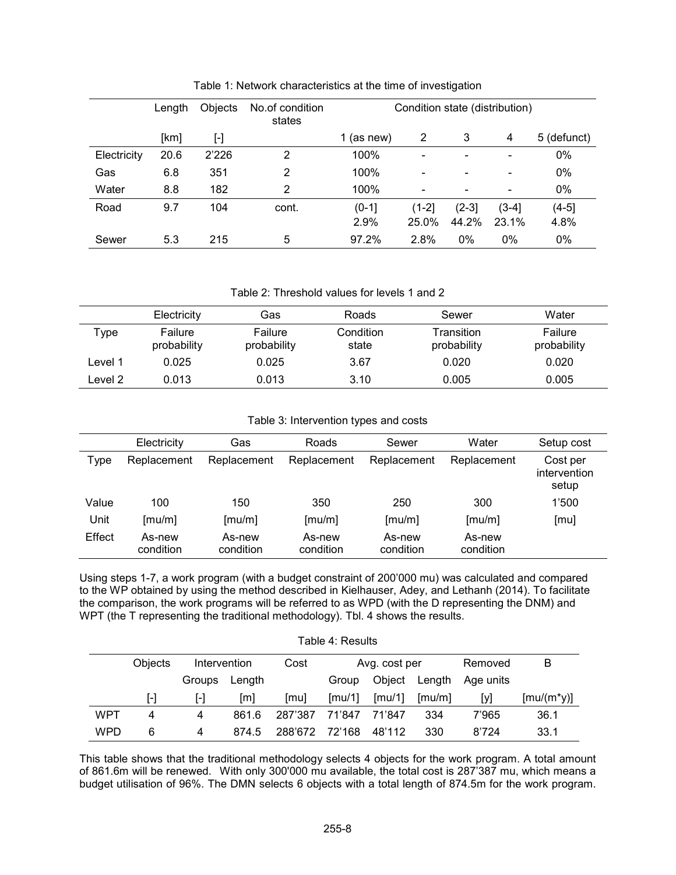|             | Length | Objects   | No.of condition<br>states | Condition state (distribution) |                              |                          |       |             |
|-------------|--------|-----------|---------------------------|--------------------------------|------------------------------|--------------------------|-------|-------------|
|             | [km]   | $[\cdot]$ |                           | (as new)                       | 2                            | 3                        | 4     | 5 (defunct) |
| Electricity | 20.6   | 2'226     | 2                         | 100%                           |                              | $\overline{\phantom{a}}$ |       | 0%          |
| Gas         | 6.8    | 351       | 2                         | 100%                           |                              |                          |       | 0%          |
| Water       | 8.8    | 182       | 2                         | 100%                           | $\qquad \qquad \blacksquare$ | $\overline{\phantom{a}}$ | -     | 0%          |
| Road        | 9.7    | 104       | cont.                     | $(0-1]$                        | $(1-2)$                      | $(2-3)$                  | (3-41 | $(4-5)$     |
|             |        |           |                           | 2.9%                           | 25.0%                        | 44.2%                    | 23.1% | 4.8%        |
| Sewer       | 5.3    | 215       | 5                         | 97.2%                          | 2.8%                         | 0%                       | 0%    | 0%          |

Table 1: Network characteristics at the time of investigation

Table 2: Threshold values for levels 1 and 2

|         | Electricity            | Gas                    | Roads              | Sewer                     | Water                  |
|---------|------------------------|------------------------|--------------------|---------------------------|------------------------|
| vpe     | Failure<br>probability | Failure<br>probability | Condition<br>state | Transition<br>probability | Failure<br>probability |
| ∟evel 1 | 0.025                  | 0.025                  | 3.67               | 0.020                     | 0.020                  |
| ∟evel 2 | 0.013                  | 0.013                  | 3.10               | 0.005                     | 0.005                  |

Table 3: Intervention types and costs

|        | Electricity         | Gas                 | Roads               | Sewer               | Water               | Setup cost                        |
|--------|---------------------|---------------------|---------------------|---------------------|---------------------|-----------------------------------|
| Type   | Replacement         | Replacement         | Replacement         | Replacement         | Replacement         | Cost per<br>intervention<br>setup |
| Value  | 100                 | 150                 | 350                 | 250                 | 300                 | 1'500                             |
| Unit   | [mu/m]              | [mu/m]              | [mu/m]              | [mu/m]              | [mu/m]              | [mu]                              |
| Effect | As-new<br>condition | As-new<br>condition | As-new<br>condition | As-new<br>condition | As-new<br>condition |                                   |

Using steps 1-7, a work program (with a budget constraint of 200'000 mu) was calculated and compared to the WP obtained by using the method described in Kielhauser, Adey, and Lethanh (2014). To facilitate the comparison, the work programs will be referred to as WPD (with the D representing the DNM) and WPT (the T representing the traditional methodology). Tbl. 4 shows the results.

| Table 4: Results |         |              |        |         |                  |                             |        |           |              |
|------------------|---------|--------------|--------|---------|------------------|-----------------------------|--------|-----------|--------------|
|                  | Objects | Intervention |        | Cost    | Avg. cost per    |                             |        | Removed   | B            |
|                  |         | Groups       | Length |         | Group            | Object                      | Length | Age units |              |
|                  | I-l     | l-l          | [m]    | [mu]    | $\text{Im}$ u/11 | $\lceil \text{mu}/1 \rceil$ | [mu/m] | [У]       | $[mu/(m*y)]$ |
| WPT              | 4       | 4            | 861.6  | 287'387 | 71'847           | 71'847                      | 334    | 7'965     | 36.1         |
| WPD              | 6       | 4            | 874.5  | 288'672 | 72'168           | 48'112                      | 330    | 8'724     | 33.1         |

This table shows that the traditional methodology selects 4 objects for the work program. A total amount of 861.6m will be renewed. With only 300'000 mu available, the total cost is 287'387 mu, which means a budget utilisation of 96%. The DMN selects 6 objects with a total length of 874.5m for the work program.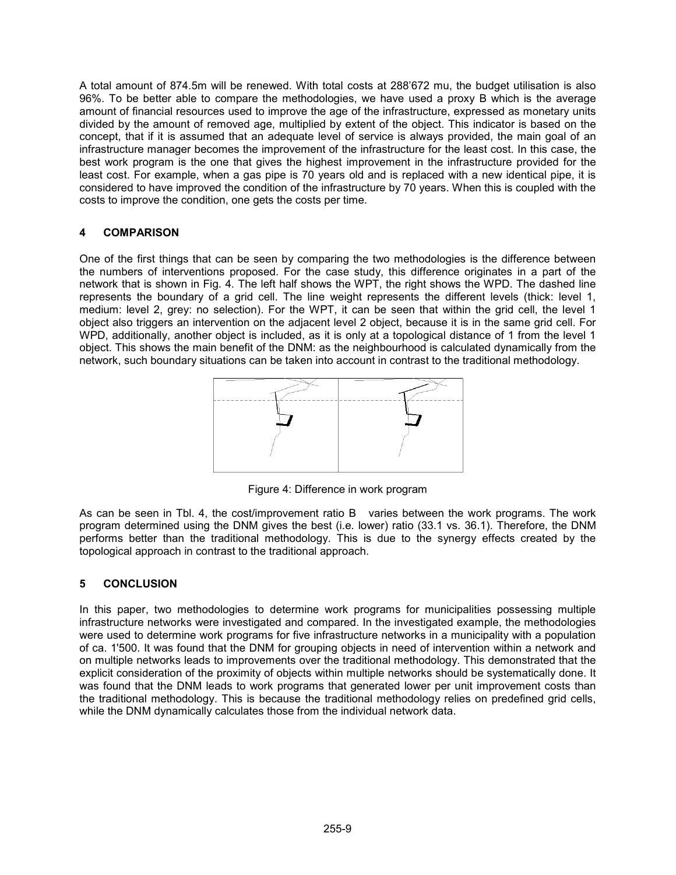A total amount of 874.5m will be renewed. With total costs at 288'672 mu, the budget utilisation is also 96%. To be better able to compare the methodologies, we have used a proxy B which is the average amount of financial resources used to improve the age of the infrastructure, expressed as monetary units divided by the amount of removed age, multiplied by extent of the object. This indicator is based on the concept, that if it is assumed that an adequate level of service is always provided, the main goal of an infrastructure manager becomes the improvement of the infrastructure for the least cost. In this case, the best work program is the one that gives the highest improvement in the infrastructure provided for the least cost. For example, when a gas pipe is 70 years old and is replaced with a new identical pipe, it is considered to have improved the condition of the infrastructure by 70 years. When this is coupled with the costs to improve the condition, one gets the costs per time.

# **4 COMPARISON**

One of the first things that can be seen by comparing the two methodologies is the difference between the numbers of interventions proposed. For the case study, this difference originates in a part of the network that is shown in Fig. 4. The left half shows the WPT, the right shows the WPD. The dashed line represents the boundary of a grid cell. The line weight represents the different levels (thick: level 1, medium: level 2, grey: no selection). For the WPT, it can be seen that within the grid cell, the level 1 object also triggers an intervention on the adjacent level 2 object, because it is in the same grid cell. For WPD, additionally, another object is included, as it is only at a topological distance of 1 from the level 1 object. This shows the main benefit of the DNM: as the neighbourhood is calculated dynamically from the network, such boundary situations can be taken into account in contrast to the traditional methodology.



Figure 4: Difference in work program

As can be seen in Tbl. 4, the cost/improvement ratio B varies between the work programs. The work program determined using the DNM gives the best (i.e. lower) ratio (33.1 vs. 36.1). Therefore, the DNM performs better than the traditional methodology. This is due to the synergy effects created by the topological approach in contrast to the traditional approach.

# **5 CONCLUSION**

In this paper, two methodologies to determine work programs for municipalities possessing multiple infrastructure networks were investigated and compared. In the investigated example, the methodologies were used to determine work programs for five infrastructure networks in a municipality with a population of ca. 1'500. It was found that the DNM for grouping objects in need of intervention within a network and on multiple networks leads to improvements over the traditional methodology. This demonstrated that the explicit consideration of the proximity of objects within multiple networks should be systematically done. It was found that the DNM leads to work programs that generated lower per unit improvement costs than the traditional methodology. This is because the traditional methodology relies on predefined grid cells, while the DNM dynamically calculates those from the individual network data.